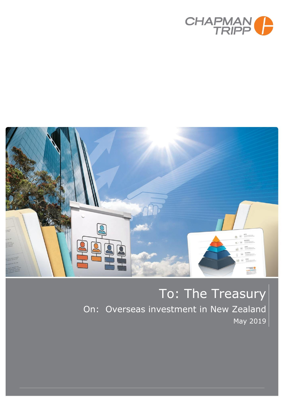



# To: The Treasury On: Overseas investment in New Zealand May 2019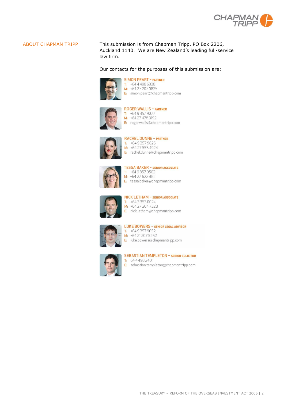

ABOUT CHAPMAN TRIPP This submission is from Chapman Tripp, PO Box 2206, Auckland 1140. We are New Zealand's leading full-service law firm.

Our contacts for the purposes of this submission are:



**SIMON PEART - PARTNER** T:  $+6444986338$ M: +64 27 207 0825 E: simon.peart@chapmantripp.com



T:  $+6493579077$ M: +64 27 478 3192 E: roger.wallis@chapmantripp.com



**RACHEL DUNNE - PARTNER**  $T: 46493579626$ M: +64 27 553 4924 E: rachel.dunne@chapmantripp.com



**TESSA BAKER - SENIOR ASSOCIATE** T:  $+6493579502$  $M: +64276223161$ E: tessa.baker@chapmantripp.com



NICK LETHAM - SENIOR ASSOCIATE  $\overline{1}$ : +64 3 353 0024 M: +64 27 204 7323 E: nick.letham@chapmantripp.com



**LUKE BOWERS - SENIOR LEGAL ADVISOR**  $T: 46493579052$ M: +64 21 207 5 25 2 E: luke.bowers@chapmantripp.com



#### **SEBASTIAN TEMPLETON - SENIOR SOLICITOR**  $\overline{1}$ : 64 4 4 9 8 2 4 0 1

E: sebastian.templeton@chapmantripp.com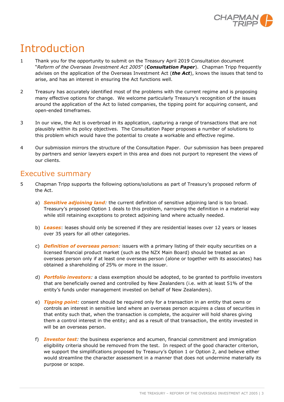

# Introduction

- 1 Thank you for the opportunity to submit on the Treasury April 2019 Consultation document "*Reform of the Overseas Investment Act 2005*" (*Consultation Paper*). Chapman Tripp frequently advises on the application of the Overseas Investment Act (*the Act*), knows the issues that tend to arise, and has an interest in ensuring the Act functions well.
- 2 Treasury has accurately identified most of the problems with the current regime and is proposing many effective options for change. We welcome particularly Treasury's recognition of the issues around the application of the Act to listed companies, the tipping point for acquiring consent, and open-ended timeframes.
- 3 In our view, the Act is overbroad in its application, capturing a range of transactions that are not plausibly within its policy objectives. The Consultation Paper proposes a number of solutions to this problem which would have the potential to create a workable and effective regime.
- 4 Our submission mirrors the structure of the Consultation Paper. Our submission has been prepared by partners and senior lawyers expert in this area and does not purport to represent the views of our clients.

# Executive summary

- 5 Chapman Tripp supports the following options/solutions as part of Treasury's proposed reform of the Act.
	- a) *Sensitive adjoining land:* the current definition of sensitive adjoining land is too broad. Treasury's proposed Option 1 deals to this problem, narrowing the definition in a material way while still retaining exceptions to protect adjoining land where actually needed.
	- b) *Leases*: leases should only be screened if they are residential leases over 12 years or leases over 35 years for all other categories.
	- c) *Definition of overseas person:* issuers with a primary listing of their equity securities on a licensed financial product market (such as the NZX Main Board) should be treated as an overseas person only if at least one overseas person (alone or together with its associates) has obtained a shareholding of 25% or more in the issuer.
	- d) *Portfolio investors:* a class exemption should be adopted, to be granted to portfolio investors that are beneficially owned and controlled by New Zealanders (i.e. with at least 51% of the entity's funds under management invested on behalf of New Zealanders).
	- e) *Tipping point:* consent should be required only for a transaction in an entity that owns or controls an interest in sensitive land where an overseas person acquires a class of securities in that entity such that, when the transaction is complete, the acquirer will hold shares giving them a control interest in the entity; and as a result of that transaction, the entity invested in will be an overseas person.
	- f) *Investor test:* the business experience and acumen, financial commitment and immigration eligibility criteria should be removed from the test. In respect of the good character criterion, we support the simplifications proposed by Treasury's Option 1 or Option 2, and believe either would streamline the character assessment in a manner that does not undermine materially its purpose or scope.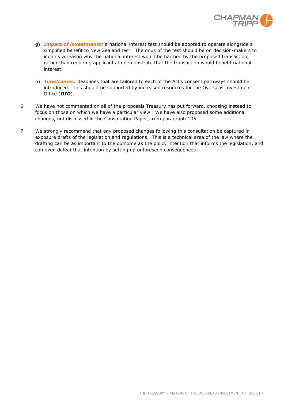

- g) *Impact of investments:* a national interest test should be adopted to operate alongside a simplified benefit to New Zealand test. The onus of the test should be on decision-makers to identify a reason why the national interest would be harmed by the proposed transaction, rather than requiring applicants to demonstrate that the transaction would benefit national interest.
- h) *Timeframes:* deadlines that are tailored to each of the Act's consent pathways should be introduced. This should be supported by increased resources for the Overseas Investment Office (*OIO*).
- 6 We have not commented on all of the proposals Treasury has put forward, choosing instead to focus on those on which we have a particular view. We have also proposed some additional changes, not discussed in the Consultation Paper, from paragraph [105.](#page-17-0)
- 7 We strongly recommend that any proposed changes following this consultation be captured in exposure drafts of the legislation and regulations. This is a technical area of the law where the drafting can be as important to the outcome as the policy intention that informs the legislation, and can even defeat that intention by setting up unforeseen consequences.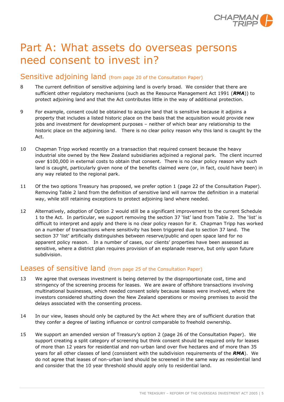

# Part A: What assets do overseas persons need consent to invest in?

### Sensitive adjoining land (from page 20 of the Consultation Paper)

- 8 The current definition of sensitive adjoining land is overly broad. We consider that there are sufficient other regulatory mechanisms (such as the Resource Management Act 1991 (*RMA*)) to protect adjoining land and that the Act contributes little in the way of additional protection.
- 9 For example, consent could be obtained to acquire land that is sensitive because it adjoins a property that includes a listed historic place on the basis that the acquisition would provide new jobs and investment for development purposes – neither of which bear any relationship to the historic place on the adjoining land. There is no clear policy reason why this land is caught by the Act.
- 10 Chapman Tripp worked recently on a transaction that required consent because the heavy industrial site owned by the New Zealand subsidiaries adjoined a regional park. The client incurred over \$100,000 in external costs to obtain that consent. There is no clear policy reason why such land is caught, particularly given none of the benefits claimed were (or, in fact, could have been) in any way related to the regional park.
- 11 Of the two options Treasury has proposed, we prefer option 1 (page 22 of the Consultation Paper). Removing Table 2 land from the definition of sensitive land will narrow the definition in a material way, while still retaining exceptions to protect adjoining land where needed.
- 12 Alternatively, adoption of Option 2 would still be a significant improvement to the current Schedule 1 to the Act. In particular, we support removing the section 37 'list' land from Table 2. The 'list' is difficult to interpret and apply and there is no clear policy reason for it. Chapman Tripp has worked on a number of transactions where sensitivity has been triggered due to section 37 land. The section 37 'list' artificially distinguishes between reserve/public and open space land for no apparent policy reason. In a number of cases, our clients' properties have been assessed as sensitive, where a district plan requires provision of an esplanade reserve, but only upon future subdivision.

# Leases of sensitive land (from page 25 of the Consultation Paper)

- 13 We agree that overseas investment is being deterred by the disproportionate cost, time and stringency of the screening process for leases. We are aware of offshore transactions involving multinational businesses, which needed consent solely because leases were involved, where the investors considered shutting down the New Zealand operations or moving premises to avoid the delays associated with the consenting process.
- 14 In our view, leases should only be captured by the Act where they are of sufficient duration that they confer a degree of lasting influence or control comparable to freehold ownership.
- 15 We support an amended version of Treasury's option 2 (page 26 of the Consultation Paper). We support creating a split category of screening but think consent should be required only for leases of more than 12 years for residential and non-urban land over five hectares and of more than 35 years for all other classes of land (consistent with the subdivision requirements of the *RMA*). We do not agree that leases of non-urban land should be screened in the same way as residential land and consider that the 10 year threshold should apply only to residential land.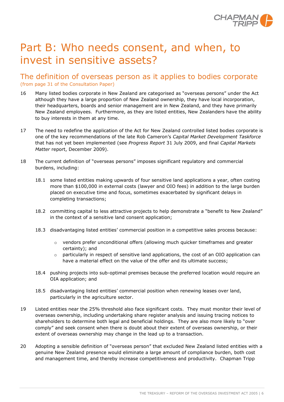

# Part B: Who needs consent, and when, to invest in sensitive assets?

The definition of overseas person as it applies to bodies corporate (from page 31 of the Consultation Paper)

- 16 Many listed bodies corporate in New Zealand are categorised as "overseas persons" under the Act although they have a large proportion of New Zealand ownership, they have local incorporation, their headquarters, boards and senior management are in New Zealand, and they have primarily New Zealand employees. Furthermore, as they are listed entities, New Zealanders have the ability to buy interests in them at any time.
- 17 The need to redefine the application of the Act for New Zealand controlled listed bodies corporate is one of the key recommendations of the late Rob Cameron's *Capital Market Development Taskforce* that has not yet been implemented (see *Progress Report* 31 July 2009, and final *Capital Markets Matter* report, December 2009).
- 18 The current definition of "overseas persons" imposes significant regulatory and commercial burdens, including:
	- 18.1 some listed entities making upwards of four sensitive land applications a year, often costing more than \$100,000 in external costs (lawyer and OIO fees) in addition to the large burden placed on executive time and focus, sometimes exacerbated by significant delays in completing transactions;
	- 18.2 committing capital to less attractive projects to help demonstrate a "benefit to New Zealand" in the context of a sensitive land consent application;
	- 18.3 disadvantaging listed entities' commercial position in a competitive sales process because:
		- o vendors prefer unconditional offers (allowing much quicker timeframes and greater certainty); and
		- $\circ$  particularly in respect of sensitive land applications, the cost of an OIO application can have a material effect on the value of the offer and its ultimate success;
	- 18.4 pushing projects into sub-optimal premises because the preferred location would require an OIA application; and
	- 18.5 disadvantaging listed entities' commercial position when renewing leases over land, particularly in the agriculture sector.
- 19 Listed entities near the 25% threshold also face significant costs. They must monitor their level of overseas ownership, including undertaking share register analysis and issuing tracing notices to shareholders to determine both legal and beneficial holdings. They are also more likely to "over comply" and seek consent when there is doubt about their extent of overseas ownership, or their extent of overseas ownership may change in the lead up to a transaction.
- 20 Adopting a sensible definition of "overseas person" that excluded New Zealand listed entities with a genuine New Zealand presence would eliminate a large amount of compliance burden, both cost and management time, and thereby increase competitiveness and productivity. Chapman Tripp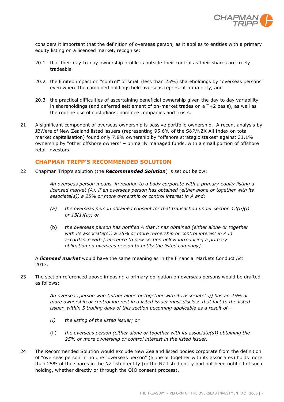

considers it important that the definition of overseas person, as it applies to entities with a primary equity listing on a licensed market, recognise:

- 20.1 that their day-to-day ownership profile is outside their control as their shares are freely tradeable
- 20.2 the limited impact on "control" of small (less than 25%) shareholdings by "overseas persons" even where the combined holdings held overseas represent a majority, and
- 20.3 the practical difficulties of ascertaining beneficial ownership given the day to day variability in shareholdings (and deferred settlement of on-market trades on a T+2 basis), as well as the routine use of custodians, nominee companies and trusts.
- 21 A significant component of overseas ownership is passive portfolio ownership. A recent analysis by JBWere of New Zealand listed issuers (representing 95.6% of the S&P/NZX All Index on total market capitalisation) found only 7.8% ownership by "offshore strategic stakes" against 31.1% ownership by "other offshore owners" – primarily managed funds, with a small portion of offshore retail investors.

#### **CHAPMAN TRIPP'S RECOMMENDED SOLUTION**

22 Chapman Tripp's solution (the *Recommended Solution*) is set out below:

*An overseas person means, in relation to a body corporate with a primary equity listing a licensed market (A), if an overseas person has obtained (either alone or together with its associate(s)) a 25% or more ownership or control interest in A and:* 

- *(a) the overseas person obtained consent for that transaction under section 12(b)(i) or 13(1)(a); or*
- (b) *the overseas person has notified A that it has obtained (either alone or together with its associate(s)) a 25% or more ownership or control interest in A in accordance with [reference to new section below introducing a primary obligation on overseas person to notify the listed company]*.

A *licensed market* would have the same meaning as in the Financial Markets Conduct Act 2013.

23 The section referenced above imposing a primary obligation on overseas persons would be drafted as follows:

> *An overseas person who (either alone or together with its associate(s)) has an 25% or more ownership or control interest in a listed issuer must disclose that fact to the listed issuer, within 5 trading days of this section becoming applicable as a result of—*

- *(i) the listing of the listed issuer; or*
- (ii) *the overseas person (either alone or together with its associate(s)) obtaining the 25% or more ownership or control interest in the listed issuer.*
- 24 The Recommended Solution would exclude New Zealand listed bodies corporate from the definition of "overseas person" if no one "overseas person" (alone or together with its associates) holds more than 25% of the shares in the NZ listed entity (or the NZ listed entity had not been notified of such holding, whether directly or through the OIO consent process).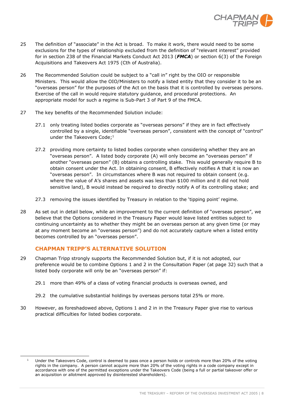

- 25 The definition of "associate" in the Act is broad. To make it work, there would need to be some exclusions for the types of relationship excluded from the definition of "relevant interest" provided for in section 238 of the Financial Markets Conduct Act 2013 (*FMCA*) or section 6(3) of the Foreign Acquisitions and Takeovers Act 1975 (Cth of Australia).
- 26 The Recommended Solution could be subject to a "call in" right by the OIO or responsible Ministers. This would allow the OIO/Ministers to notify a listed entity that they consider it to be an "overseas person" for the purposes of the Act on the basis that it is controlled by overseas persons. Exercise of the call in would require statutory guidance, and procedural protections. An appropriate model for such a regime is Sub-Part 3 of Part 9 of the FMCA.
- 27 The key benefits of the Recommended Solution include:
	- 27.1 only treating listed bodies corporate as "overseas persons" if they are in fact effectively controlled by a single, identifiable "overseas person", consistent with the concept of "control" under the Takeovers Code;<sup>1</sup>
	- 27.2 providing more certainty to listed bodies corporate when considering whether they are an "overseas person". A listed body corporate (A) will only become an "overseas person" if another "overseas person" (B) obtains a controlling stake. This would generally require B to obtain consent under the Act. In obtaining consent, B effectively notifies A that it is now an "overseas person". In circumstances where B was not required to obtain consent (e.g. where the value of A's shares and assets was less than \$100 million and it did not hold sensitive land), B would instead be required to directly notify A of its controlling stake; and
	- 27.3 removing the issues identified by Treasury in relation to the 'tipping point' regime.
- 28 As set out in detail below, while an improvement to the current definition of "overseas person", we believe that the Options considered in the Treasury Paper would leave listed entities subject to continuing uncertainty as to whether they might be an overseas person at any given time (or may at any moment become an "overseas person") and do not accurately capture when a listed entity becomes controlled by an "overseas person".

#### **CHAPMAN TRIPP'S ALTERNATIVE SOLUTION**

j

- 29 Chapman Tripp strongly supports the Recommended Solution but, if it is not adopted, our preference would be to combine Options 1 and 2 in the Consultation Paper (at page 32) such that a listed body corporate will only be an "overseas person" if:
	- 29.1 more than 49% of a class of voting financial products is overseas owned, and
	- 29.2 the cumulative substantial holdings by overseas persons total 25% or more.
- 30 However, as foreshadowed above, Options 1 and 2 in in the Treasury Paper give rise to various practical difficulties for listed bodies corporate.

<sup>&</sup>lt;sup>1</sup> Under the Takeovers Code, control is deemed to pass once a person holds or controls more than 20% of the voting rights in the company. A person cannot acquire more than 20% of the voting rights in a code company except in accordance with one of the permitted exceptions under the Takeovers Code (being a full or partial takeover offer or an acquisition or allotment approved by disinterested shareholders).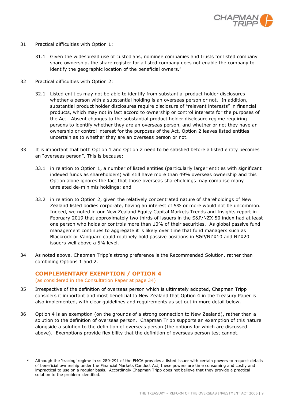

- 31 Practical difficulties with Option 1:
	- 31.1 Given the widespread use of custodians, nominee companies and trusts for listed company share ownership, the share register for a listed company does not enable the company to identify the geographic location of the beneficial owners. $2$
- 32 Practical difficulties with Option 2:
	- 32.1 Listed entities may not be able to identify from substantial product holder disclosures whether a person with a substantial holding is an overseas person or not. In addition, substantial product holder disclosures require disclosure of "relevant interests" in financial products, which may not in fact accord to ownership or control interests for the purposes of the Act. Absent changes to the substantial product holder disclosure regime requiring persons to identify whether they are an overseas person, and whether or not they have an ownership or control interest for the purposes of the Act, Option 2 leaves listed entities uncertain as to whether they are an overseas person or not.
- 33 It is important that both Option 1 and Option 2 need to be satisfied before a listed entity becomes an "overseas person". This is because:
	- 33.1 in relation to Option 1, a number of listed entities (particularly larger entities with significant indexed funds as shareholders) will still have more than 49% overseas ownership and this Option alone ignores the fact that those overseas shareholdings may comprise many unrelated de-minimis holdings; and
	- 33.2 in relation to Option 2, given the relatively concentrated nature of shareholdings of New Zealand listed bodies corporate, having an interest of 5% or more would not be uncommon. Indeed, we noted in our New Zealand Equity Capital Markets Trends and Insights report in February 2019 that approximately two thirds of issuers in the S&P/NZX 50 index had at least one person who holds or controls more than 10% of their securities. As global passive fund management continues to aggregate it is likely over time that fund managers such as Blackrock or Vanguard could routinely hold passive positions in S&P/NZX10 and NZX20 issuers well above a 5% level.
- 34 As noted above, Chapman Tripp's strong preference is the Recommended Solution, rather than combining Options 1 and 2.

#### **COMPLEMENTARY EXEMPTION / OPTION 4**

(as considered in the Consultation Paper at page 34)

j

- 35 Irrespective of the definition of overseas person which is ultimately adopted, Chapman Tripp considers it important and most beneficial to New Zealand that Option 4 in the Treasury Paper is also implemented, with clear guidelines and requirements as set out in more detail below.
- 36 Option 4 is an exemption (on the grounds of a strong connection to New Zealand), rather than a solution to the definition of overseas person. Chapman Tripp supports an exemption of this nature alongside a solution to the definition of overseas person (the options for which are discussed above). Exemptions provide flexibility that the definition of overseas person test cannot.

 $2$  Although the 'tracing' regime in ss 289-291 of the FMCA provides a listed issuer with certain powers to request details of beneficial ownership under the Financial Markets Conduct Act, these powers are time consuming and costly and impractical to use on a regular basis. Accordingly Chapman Tripp does not believe that they provide a practical solution to the problem identified.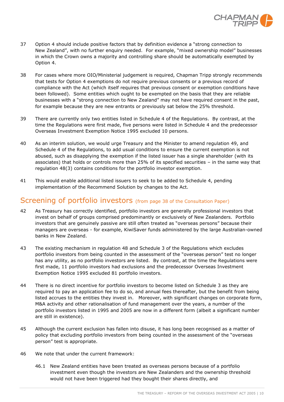

- 37 Option 4 should include positive factors that by definition evidence a "strong connection to New Zealand", with no further enquiry needed. For example, "mixed ownership model" businesses in which the Crown owns a majority and controlling share should be automatically exempted by Option 4.
- 38 For cases where more OIO/Ministerial judgement is required, Chapman Tripp strongly recommends that tests for Option 4 exemptions do not require previous consents or a previous record of compliance with the Act (which itself requires that previous consent or exemption conditions have been followed). Some entities which ought to be exempted on the basis that they are reliable businesses with a "strong connection to New Zealand" may not have required consent in the past, for example because they are new entrants or previously sat below the 25% threshold.
- 39 There are currently only two entities listed in Schedule 4 of the Regulations. By contrast, at the time the Regulations were first made, five persons were listed in Schedule 4 and the predecessor Overseas Investment Exemption Notice 1995 excluded 10 persons.
- 40 As an interim solution, we would urge Treasury and the Minister to amend regulation 49, and Schedule 4 of the Regulations, to add usual conditions to ensure the current exemption is not abused, such as disapplying the exemption if the listed issuer has a single shareholder (with its associates) that holds or controls more than 25% of its specified securities – in the same way that regulation 48(3) contains conditions for the portfolio investor exemption.
- 41 This would enable additional listed issuers to seek to be added to Schedule 4, pending implementation of the Recommend Solution by changes to the Act.

# Screening of portfolio investors (from page 38 of the Consultation Paper)

- 42 As Treasury has correctly identified, portfolio investors are generally professional investors that invest on behalf of groups comprised predominantly or exclusively of New Zealanders. Portfolio investors that are genuinely passive are still often treated as "overseas persons" because their managers are overseas - for example, KiwiSaver funds administered by the large Australian-owned banks in New Zealand.
- 43 The existing mechanism in regulation 48 and Schedule 3 of the Regulations which excludes portfolio investors from being counted in the assessment of the "overseas person" test no longer has any utility, as no portfolio investors are listed. By contrast, at the time the Regulations were first made, 11 portfolio investors had exclusions and the predecessor Overseas Investment Exemption Notice 1995 excluded 81 portfolio investors.
- 44 There is no direct incentive for portfolio investors to become listed on Schedule 3 as they are required to pay an application fee to do so, and annual fees thereafter, but the benefit from being listed accrues to the entities they invest in. Moreover, with significant changes on corporate form, M&A activity and other rationalisation of fund management over the years, a number of the portfolio investors listed in 1995 and 2005 are now in a different form (albeit a significant number are still in existence).
- 45 Although the current exclusion has fallen into disuse, it has long been recognised as a matter of policy that excluding portfolio investors from being counted in the assessment of the "overseas person" test is appropriate.
- 46 We note that under the current framework:
	- 46.1 New Zealand entities have been treated as overseas persons because of a portfolio investment even though the investors are New Zealanders and the ownership threshold would not have been triggered had they bought their shares directly, and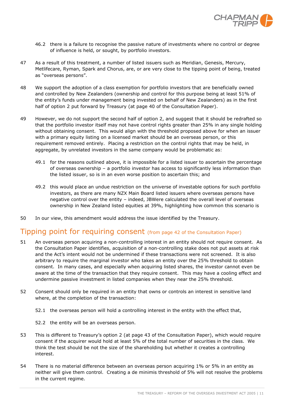

- 46.2 there is a failure to recognise the passive nature of investments where no control or degree of influence is held, or sought, by portfolio investors.
- 47 As a result of this treatment, a number of listed issuers such as Meridian, Genesis, Mercury, Metlifecare, Ryman, Spark and Chorus, are, or are very close to the tipping point of being, treated as "overseas persons".
- 48 We support the adoption of a class exemption for portfolio investors that are beneficially owned and controlled by New Zealanders (ownership and control for this purpose being at least 51% of the entity's funds under management being invested on behalf of New Zealanders) as in the first half of option 2 put forward by Treasury (at page 40 of the Consultation Paper).
- 49 However, we do not support the second half of option 2, and suggest that it should be redrafted so that the portfolio investor itself may not have control rights greater than 25% in any single holding without obtaining consent. This would align with the threshold proposed above for when an issuer with a primary equity listing on a licensed market should be an overseas person, or this requirement removed entirely. Placing a restriction on the control rights that may be held, in aggregate, by unrelated investors in the same company would be problematic as:
	- 49.1 for the reasons outlined above, it is impossible for a listed issuer to ascertain the percentage of overseas ownership – a portfolio investor has access to significantly less information than the listed issuer, so is in an even worse position to ascertain this; and
	- 49.2 this would place an undue restriction on the universe of investable options for such portfolio investors, as there are many NZX Main Board listed issuers where overseas persons have negative control over the entity – indeed, JBWere calculated the overall level of overseas ownership in New Zealand listed equities at 39%, highlighting how common this scenario is
- 50 In our view, this amendment would address the issue identified by the Treasury.

### Tipping point for requiring consent (from page 42 of the Consultation Paper)

- 51 An overseas person acquiring a non-controlling interest in an entity should not require consent. As the Consultation Paper identifies, acquisition of a non-controlling stake does not put assets at risk and the Act's intent would not be undermined if these transactions were not screened. It is also arbitrary to require the marginal investor who takes an entity over the 25% threshold to obtain consent. In many cases, and especially when acquiring listed shares, the investor cannot even be aware at the time of the transaction that they require consent. This may have a cooling effect and undermine passive investment in listed companies when they near the 25% threshold.
- 52 Consent should only be required in an entity that owns or controls an interest in sensitive land where, at the completion of the transaction:
	- 52.1 the overseas person will hold a controlling interest in the entity with the effect that,
	- 52.2 the entity will be an overseas person.
- 53 This is different to Treasury's option 2 (at page 43 of the Consultation Paper), which would require consent if the acquirer would hold at least 5% of the total number of securities in the class. We think the test should be not the size of the shareholding but whether it creates a controlling interest.
- 54 There is no material difference between an overseas person acquiring 1% or 5% in an entity as neither will give them control. Creating a de minimis threshold of 5% will not resolve the problems in the current regime.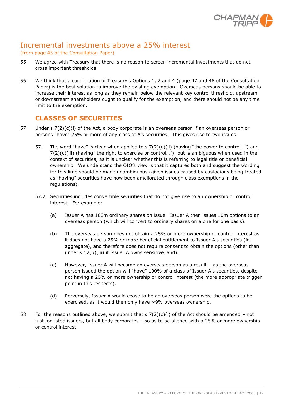

# Incremental investments above a 25% interest

#### (from page 45 of the Consultation Paper)

- 55 We agree with Treasury that there is no reason to screen incremental investments that do not cross important thresholds.
- 56 We think that a combination of Treasury's Options 1, 2 and 4 (page 47 and 48 of the Consultation Paper) is the best solution to improve the existing exemption. Overseas persons should be able to increase their interest as long as they remain below the relevant key control threshold, upstream or downstream shareholders ought to qualify for the exemption, and there should not be any time limit to the exemption.

## **CLASSES OF SECURITIES**

- 57 Under s 7(2)(c)(i) of the Act, a body corporate is an overseas person if an overseas person or persons "have" 25% or more of any class of A's securities. This gives rise to two issues:
	- 57.1 The word "have" is clear when applied to s  $7(2)(c)(ii)$  (having "the power to control...") and  $7(2)(c)(iii)$  (having "the right to exercise or control..."), but is ambiguous when used in the context of securities, as it is unclear whether this is referring to legal title or beneficial ownership. We understand the OIO's view is that it captures both and suggest the wording for this limb should be made unambiguous (given issues caused by custodians being treated as "having" securities have now been ameliorated through class exemptions in the regulations).
	- 57.2 Securities includes convertible securities that do not give rise to an ownership or control interest. For example:
		- (a) Issuer A has 100m ordinary shares on issue. Issuer A then issues 10m options to an overseas person (which will convert to ordinary shares on a one for one basis).
		- (b) The overseas person does not obtain a 25% or more ownership or control interest as it does not have a 25% or more beneficial entitlement to Issuer A's securities (in aggregate), and therefore does not require consent to obtain the options (other than under s 12(b)(iii) if Issuer A owns sensitive land).
		- (c) However, Issuer A will become an overseas person as a result as the overseas person issued the option will "have" 100% of a class of Issuer A's securities, despite not having a 25% or more ownership or control interest (the more appropriate trigger point in this respects).
		- (d) Perversely, Issuer A would cease to be an overseas person were the options to be exercised, as it would then only have ~9% overseas ownership.
- 58 For the reasons outlined above, we submit that  $s \, 7(2)(c)(i)$  of the Act should be amended not just for listed issuers, but all body corporates – so as to be aligned with a 25% or more ownership or control interest.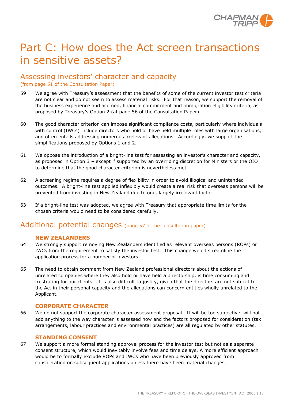

# Part C: How does the Act screen transactions in sensitive assets?

## Assessing investors' character and capacity (from page 51 of the Consultation Paper)

- 59 We agree with Treasury's assessment that the benefits of some of the current investor test criteria are not clear and do not seem to assess material risks. For that reason, we support the removal of the business experience and acumen, financial commitment and immigration eligibility criteria, as proposed by Treasury's Option 2 (at page 56 of the Consultation Paper).
- 60 The good character criterion can impose significant compliance costs, particularly where individuals with control (IWCs) include directors who hold or have held multiple roles with large organisations, and often entails addressing numerous irrelevant allegations. Accordingly, we support the simplifications proposed by Options 1 and 2.
- 61 We oppose the introduction of a bright-line test for assessing an investor's character and capacity, as proposed in Option 3 – except if supported by an overriding discretion for Ministers or the OIO to determine that the good character criterion is nevertheless met.
- 62 A screening regime requires a degree of flexibility in order to avoid illogical and unintended outcomes. A bright-line test applied inflexibly would create a real risk that overseas persons will be prevented from investing in New Zealand due to one, largely irrelevant factor.
- 63 If a bright-line test was adopted, we agree with Treasury that appropriate time limits for the chosen criteria would need to be considered carefully.

# Additional potential changes (page 57 of the consultation paper)

#### **NEW ZEALANDERS**

- 64 We strongly support removing New Zealanders identified as relevant overseas persons (ROPs) or IWCs from the requirement to satisfy the investor test. This change would streamline the application process for a number of investors.
- 65 The need to obtain comment from New Zealand professional directors about the actions of unrelated companies where they also hold or have held a directorship, is time consuming and frustrating for our clients. It is also difficult to justify, given that the directors are not subject to the Act in their personal capacity and the allegations can concern entities wholly unrelated to the Applicant.

#### **CORPORATE CHARACTER**

66 We do not support the corporate character assessment proposal. It will be too subjective, will not add anything to the way character is assessed now and the factors proposed for consideration (tax arrangements, labour practices and environmental practices) are all regulated by other statutes.

#### **STANDING CONSENT**

67 We support a more formal standing approval process for the investor test but not as a separate consent structure, which would inevitably involve fees and time delays. A more efficient approach would be to formally exclude ROPs and IWCs who have been previously approved from consideration on subsequent applications unless there have been material changes.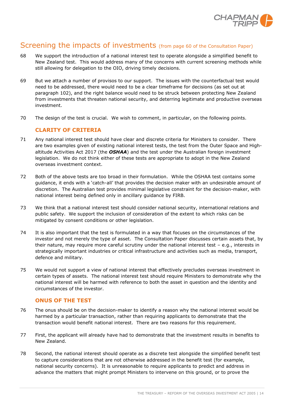

# Screening the impacts of investments (from page 60 of the Consultation Paper)

- 68 We support the introduction of a national interest test to operate alongside a simplified benefit to New Zealand test. This would address many of the concerns with current screening methods while still allowing for delegation to the OIO, driving timely decisions.
- 69 But we attach a number of provisos to our support. The issues with the counterfactual test would need to be addressed, there would need to be a clear timeframe for decisions (as set out at paragraph [102\)](#page-16-0), and the right balance would need to be struck between protecting New Zealand from investments that threaten national security, and deterring legitimate and productive overseas investment.
- 70 The design of the test is crucial. We wish to comment, in particular, on the following points.

#### **CLARITY OF CRITERIA**

- 71 Any national interest test should have clear and discrete criteria for Ministers to consider. There are two examples given of existing national interest tests, the test from the Outer Space and Highaltitude Activities Act 2017 (the *OSHAA*) and the test under the Australian foreign investment legislation. We do not think either of these tests are appropriate to adopt in the New Zealand overseas investment context.
- 72 Both of the above tests are too broad in their formulation. While the OSHAA test contains some guidance, it ends with a 'catch-all' that provides the decision maker with an undesirable amount of discretion. The Australian test provides minimal legislative constraint for the decision-maker, with national interest being defined only in ancillary guidance by FIRB.
- 73 We think that a national interest test should consider national security, international relations and public safety. We support the inclusion of consideration of the extent to which risks can be mitigated by consent conditions or other legislation.
- 74 It is also important that the test is formulated in a way that focuses on the circumstances of the investor and not merely the type of asset. The Consultation Paper discusses certain assets that, by their nature, may require more careful scrutiny under the national interest test – e.g., interests in strategically important industries or critical infrastructure and activities such as media, transport, defence and military.
- 75 We would not support a view of national interest that effectively precludes overseas investment in certain types of assets. The national interest test should require Ministers to demonstrate why the national interest will be harmed with reference to both the asset in question and the identity and circumstances of the investor.

#### **ONUS OF THE TEST**

- 76 The onus should be on the decision-maker to identify a reason why the national interest would be harmed by a particular transaction, rather than requiring applicants to demonstrate that the transaction would benefit national interest. There are two reasons for this requirement.
- 77 First, the applicant will already have had to demonstrate that the investment results in benefits to New Zealand.
- 78 Second, the national interest should operate as a discrete test alongside the simplified benefit test to capture considerations that are not otherwise addressed in the benefit test (for example, national security concerns). It is unreasonable to require applicants to predict and address in advance the matters that might prompt Ministers to intervene on this ground, or to prove the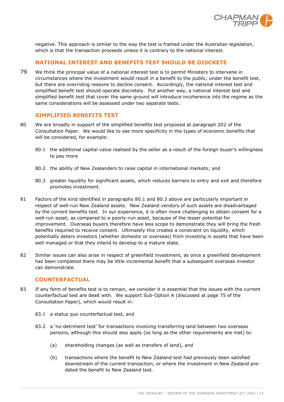

negative. This approach is similar to the way the test is framed under the Australian legislation, which is that the transaction proceeds unless it is contrary to the national interest.

#### **NATIONAL INTEREST AND BENEFITS TEST SHOULD BE DISCRETE**

79 We think the principal value of a national interest test is to permit Ministers to intervene in circumstances where the investment would result in a benefit to the public, under the benefit test, but there are overriding reasons to decline consent. Accordingly, the national interest test and simplified benefit test should operate discretely. Put another way, a national interest test and simplified benefit test that cover the same ground will introduce incoherence into the regime as the same considerations will be assessed under two separate tests.

#### **SIMPLIFIED BENEFITS TEST**

- <span id="page-14-0"></span>80 We are broadly in support of the simplified benefits test proposed at paragraph 202 of the Consultation Paper. We would like to see more specificity in the types of economic benefits that will be considered, for example:
	- 80.1 the additional capital value realised by the seller as a result of the foreign buyer's willingness to pay more
	- 80.2 the ability of New Zealanders to raise capital in international markets; and
	- 80.3 greater liquidity for significant assets, which reduces barriers to entry and exit and therefore promotes investment.
- <span id="page-14-1"></span>81 Factors of the kind identified in paragraphs [80.1](#page-14-0) and [80.3](#page-14-1) above are particularly important in respect of well-run New Zealand assets. New Zealand vendors of such assets are disadvantaged by the current benefits test. In our experience, it is often more challenging to obtain consent for a well-run asset, as compared to a poorly-run asset, because of the lesser potential for improvement. Overseas buyers therefore have less scope to demonstrate they will bring the fresh benefits required to receive consent. Ultimately this creates a constraint on liquidity, which potentially deters investors (whether domestic or overseas) from investing in assets that have been well managed or that they intend to develop to a mature state.
- 82 Similar issues can also arise in respect of greenfield investment, as once a greenfield development has been completed there may be little incremental benefit that a subsequent overseas investor can demonstrate.

#### **COUNTERFACTUAL**

- 83 If any form of benefits test is to remain, we consider it is essential that the issues with the current counterfactual test are dealt with. We support Sub-Option A (discussed at page 75 of the Consultation Paper), which would result in:
	- 83.1 a status quo counterfactual test, and
	- 83.2 a 'no-detriment test' for transactions involving transferring land between two overseas persons, although this should also apply (so long as the other requirements are met) to:
		- (a) shareholding changes (as well as transfers of land), and
		- (b) transactions where the benefit to New Zealand test had previously been satisfied downstream of the current transaction, or where the investment in New Zealand predated the benefit to New Zealand test.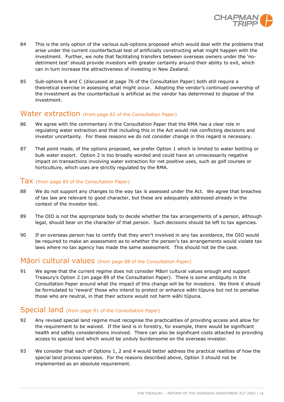

- 84 This is the only option of the various sub-options proposed which would deal with the problems that arise under the current counterfactual test of artificially constructing what might happen with the investment. Further, we note that facilitating transfers between overseas owners under the 'nodetriment test' should provide investors with greater certainty around their ability to exit, which can in turn increase the attractiveness of investing in New Zealand.
- 85 Sub-options B and C (discussed at page 76 of the Consultation Paper) both still require a theoretical exercise in assessing what might occur. Adopting the vendor's continued ownership of the investment as the counterfactual is artificial as the vendor has determined to dispose of the investment.

# Water extraction (from page 82 of the Consultation Paper)

- 86 We agree with the commentary in the Consultation Paper that the RMA has a clear role in regulating water extraction and that including this in the Act would risk conflicting decisions and investor uncertainty. For these reasons we do not consider change in this regard is necessary.
- 87 That point made, of the options proposed, we prefer Option 1 which is limited to water bottling or bulk water export. Option 2 is too broadly worded and could have an unnecessarily negative impact on transactions involving water extraction for net positive uses, such as golf courses or horticulture, which uses are strictly regulated by the RMA.

#### Tax (from page 85 of the Consultation Paper)

- 88 We do not support any changes to the way tax is assessed under the Act. We agree that breaches of tax law are relevant to good character, but these are adequately addressed already in the context of the investor test.
- 89 The OIO is not the appropriate body to decide whether the tax arrangements of a person, although legal, should bear on the character of that person. Such decisions should be left to tax agencies.
- 90 If an overseas person has to certify that they aren't involved in any tax avoidance, the OIO would be required to make an assessment as to whether the person's tax arrangements would violate tax laws where no tax agency has made the same assessment. This should not be the case.

### Māori cultural values (from page 88 of the Consultation Paper)

91 We agree that the current regime does not consider Māori cultural values enough and support Treasury's Option 2 (on page 89 of the Consultation Paper). There is some ambiguity in the Consultation Paper around what the impact of this change will be for investors. We think it should be formulated to 'reward' those who intend to protect or enhance wāhi tūpuna but not to penalise those who are neutral, in that their actions would not harm wāhi tūpuna.

### Special land (from page 91 of the Consultation Paper)

- 92 Any revised special land regime must recognise the practicalities of providing access and allow for the requirement to be waived. If the land is in forestry, for example, there would be significant health and safety considerations involved. There can also be significant costs attached to providing access to special land which would be unduly burdensome on the overseas investor.
- 93 We consider that each of Options 1, 2 and 4 would better address the practical realities of how the special land process operates. For the reasons described above, Option 3 should not be implemented as an absolute requirement.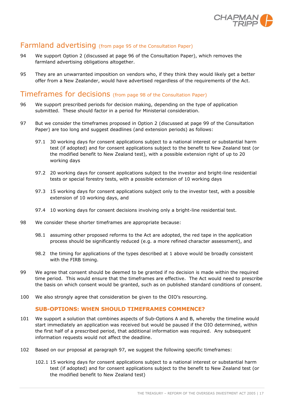

# Farmland advertising (from page 95 of the Consultation Paper)

- 94 We support Option 2 (discussed at page 96 of the Consultation Paper), which removes the farmland advertising obligations altogether.
- 95 They are an unwarranted imposition on vendors who, if they think they would likely get a better offer from a New Zealander, would have advertised regardless of the requirements of the Act.

# Timeframes for decisions (from page 98 of the Consultation Paper)

- 96 We support prescribed periods for decision making, depending on the type of application submitted. These should factor in a period for Ministerial consideration.
- <span id="page-16-1"></span>97 But we consider the timeframes proposed in Option 2 (discussed at page 99 of the Consultation Paper) are too long and suggest deadlines (and extension periods) as follows:
	- 97.1 30 working days for consent applications subject to a national interest or substantial harm test (if adopted) and for consent applications subject to the benefit to New Zealand test (or the modified benefit to New Zealand test), with a possible extension right of up to 20 working days
	- 97.2 20 working days for consent applications subject to the investor and bright-line residential tests or special forestry tests, with a possible extension of 10 working days
	- 97.3 15 working days for consent applications subject only to the investor test, with a possible extension of 10 working days, and
	- 97.4 10 working days for consent decisions involving only a bright-line residential test.
- 98 We consider these shorter timeframes are appropriate because:
	- 98.1 assuming other proposed reforms to the Act are adopted, the red tape in the application process should be significantly reduced (e.g. a more refined character assessment), and
	- 98.2 the timing for applications of the types described at 1 above would be broadly consistent with the FIRB timing.
- 99 We agree that consent should be deemed to be granted if no decision is made within the required time period. This would ensure that the timeframes are effective. The Act would need to prescribe the basis on which consent would be granted, such as on published standard conditions of consent.
- 100 We also strongly agree that consideration be given to the OIO's resourcing.

#### **SUB-OPTIONS: WHEN SHOULD TIMEFRAMES COMMENCE?**

- 101 We support a solution that combines aspects of Sub-Options A and B, whereby the timeline would start immediately an application was received but would be paused if the OIO determined, within the first half of a prescribed period, that additional information was required. Any subsequent information requests would not affect the deadline.
- <span id="page-16-0"></span>102 Based on our proposal at paragraph [97,](#page-16-1) we suggest the following specific timeframes:
	- 102.1 15 working days for consent applications subject to a national interest or substantial harm test (if adopted) and for consent applications subject to the benefit to New Zealand test (or the modified benefit to New Zealand test)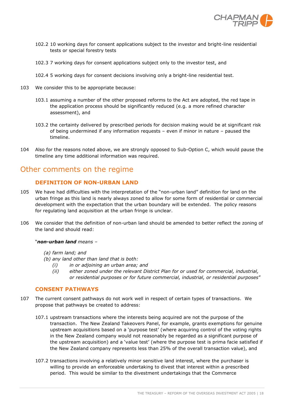

- 102.2 10 working days for consent applications subject to the investor and bright-line residential tests or special forestry tests
- 102.3 7 working days for consent applications subject only to the investor test, and
- 102.4 5 working days for consent decisions involving only a bright-line residential test.
- 103 We consider this to be appropriate because:
	- 103.1 assuming a number of the other proposed reforms to the Act are adopted, the red tape in the application process should be significantly reduced (e.g. a more refined character assessment), and
	- 103.2 the certainty delivered by prescribed periods for decision making would be at significant risk of being undermined if any information requests – even if minor in nature – paused the timeline.
- 104 Also for the reasons noted above, we are strongly opposed to Sub-Option C, which would pause the timeline any time additional information was required.

# Other comments on the regime

#### **DEFINITION OF NON-URBAN LAND**

- <span id="page-17-0"></span>105 We have had difficulties with the interpretation of the "non-urban land" definition for land on the urban fringe as this land is nearly always zoned to allow for some form of residential or commercial development with the expectation that the urban boundary will be extended. The policy reasons for regulating land acquisition at the urban fringe is unclear.
- 106 We consider that the definition of non-urban land should be amended to better reflect the zoning of the land and should read:

#### "*non-urban land means –*

- *(a) farm land; and*
- *(b) any land other than land that is both:*
	- *(i) in or adjoining an urban area; and*
	- *(ii) either zoned under the relevant District Plan for or used for commercial, industrial, or residential purposes or for future commercial, industrial, or residential purposes*"

#### **CONSENT PATHWAYS**

- 107 The current consent pathways do not work well in respect of certain types of transactions. We propose that pathways be created to address:
	- 107.1 upstream transactions where the interests being acquired are not the purpose of the transaction. The New Zealand Takeovers Panel, for example, grants exemptions for genuine upstream acquisitions based on a 'purpose test' (where acquiring control of the voting rights in the New Zealand company would not reasonably be regarded as a significant purpose of the upstream acquisition) and a 'value test' (where the purpose test is prima facie satisfied if the New Zealand company represents less than 25% of the overall transaction value), and
	- 107.2 transactions involving a relatively minor sensitive land interest, where the purchaser is willing to provide an enforceable undertaking to divest that interest within a prescribed period. This would be similar to the divestment undertakings that the Commerce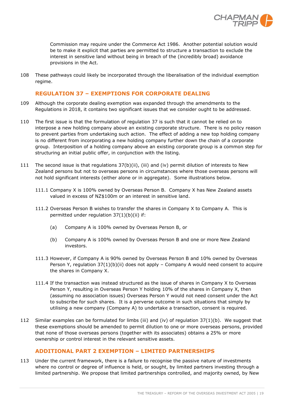

Commission may require under the Commerce Act 1986. Another potential solution would be to make it explicit that parties are permitted to structure a transaction to exclude the interest in sensitive land without being in breach of the (incredibly broad) avoidance provisions in the Act.

108 These pathways could likely be incorporated through the liberalisation of the individual exemption regime.

#### **REGULATION 37 – EXEMPTIONS FOR CORPORATE DEALING**

- 109 Although the corporate dealing exemption was expanded through the amendments to the Regulations in 2018, it contains two significant issues that we consider ought to be addressed.
- 110 The first issue is that the formulation of regulation 37 is such that it cannot be relied on to interpose a new holding company above an existing corporate structure. There is no policy reason to prevent parties from undertaking such action. The effect of adding a new top holding company is no different from incorporating a new holding company further down the chain of a corporate group. Interposition of a holding company above an existing corporate group is a common step for structuring an initial public offer, in conjunction with the listing.
- 111 The second issue is that regulations 37(b)(ii), (iii) and (iv) permit dilution of interests to New Zealand persons but not to overseas persons in circumstances where those overseas persons will not hold significant interests (either alone or in aggregate). Some illustrations below.
	- 111.1 Company X is 100% owned by Overseas Person B. Company X has New Zealand assets valued in excess of NZ\$100m or an interest in sensitive land.
	- 111.2 Overseas Person B wishes to transfer the shares in Company X to Company A. This is permitted under regulation 37(1)(b)(ii) if:
		- (a) Company A is 100% owned by Overseas Person B, or
		- (b) Company A is 100% owned by Overseas Person B and one or more New Zealand investors.
	- 111.3 However, if Company A is 90% owned by Overseas Person B and 10% owned by Overseas Person Y, regulation 37(1)(b)(ii) does not apply – Company A would need consent to acquire the shares in Company X.
	- 111.4 If the transaction was instead structured as the issue of shares in Company X to Overseas Person Y, resulting in Overseas Person Y holding 10% of the shares in Company X, then (assuming no association issues) Overseas Person Y would not need consent under the Act to subscribe for such shares. It is a perverse outcome in such situations that simply by utilising a new company (Company A) to undertake a transaction, consent is required.
- 112 Similar examples can be formulated for limbs (iii) and (iv) of regulation 37(1)(b). We suggest that these exemptions should be amended to permit dilution to one or more overseas persons, provided that none of those overseas persons (together with its associates) obtains a 25% or more ownership or control interest in the relevant sensitive assets.

#### **ADDITIONAL PART 2 EXEMPTION – LIMITED PARTNERSHIPS**

113 Under the current framework, there is a failure to recognise the passive nature of investments where no control or degree of influence is held, or sought, by limited partners investing through a limited partnership. We propose that limited partnerships controlled, and majority owned, by New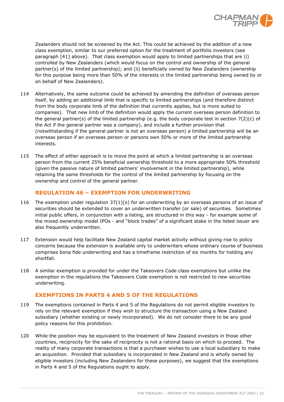

Zealanders should not be screened by the Act. This could be achieved by the addition of a new class exemption, similar to our preferred option for the treatment of portfolio investors (see paragraph [41] above). That class exemption would apply to limited partnerships that are (i) controlled by New Zealanders (which would focus on the control and ownership of the general partner(s) of the limited partnership); and (ii) beneficially owned by New Zealanders (ownership for this purpose being more than 50% of the interests in the limited partnership being owned by or on behalf of New Zealanders).

- 114 Alternatively, the same outcome could be achieved by amending the definition of overseas person itself, by adding an additional limb that is specific to limited partnerships (and therefore distinct from the body corporate limb of the definition that currently applies, but is more suited to companies). That new limb of the definition would apply the current overseas person definition to the general partner(s) of the limited partnership (e.g. the body corporate test in section  $7(2)(c)$  of the Act if the general partner was a company), and include a further provision that (notwithstanding if the general partner is not an overseas person) a limited partnership will be an overseas person if an overseas person or persons own 50% or more of the limited partnership interests.
- 115 The effect of either approach is to move the point at which a limited partnership is an overseas person from the current 25% beneficial ownership threshold to a more appropriate 50% threshold (given the passive nature of limited partners' involvement in the limited partnership), while retaining the same thresholds for the control of the limited partnership by focusing on the ownership and control of the general partner.

#### **REGULATION 46 – EXEMPTION FOR UNDERWRITING**

- 116 The exemption under regulation 37(1)(o) for an underwriting by an overseas persons of an issue of securities should be extended to cover an underwritten transfer (or sale) of securities. Sometimes initial public offers, in conjunction with a listing, are structured in this way - for example some of the mixed ownership model IPOs - and "block trades" of a significant stake in the listed issuer are also frequently underwritten.
- 117 Extension would help facilitate New Zealand capital market activity without giving rise to policy concerns because the extension is available only to underwriters whose ordinary course of business comprises bona fide underwriting and has a timeframe restriction of six months for holding any shortfall.
- 118 A similar exemption is provided for under the Takeovers Code class exemptions but unlike the exemption in the regulations the Takeovers Code exemption is not restricted to new securities underwriting.

#### **EXEMPTIONS IN PARTS 4 AND 5 OF THE REGULATIONS**

- 119 The exemptions contained in Parts 4 and 5 of the Regulations do not permit eligible investors to rely on the relevant exemption if they wish to structure the transaction using a New Zealand subsidiary (whether existing or newly incorporated). We do not consider there to be any good policy reasons for this prohibition.
- 120 While the position may be equivalent to the treatment of New Zealand investors in those other countries, reciprocity for the sake of reciprocity is not a rational basis on which to proceed. The reality of many corporate transactions is that a purchaser wishes to use a local subsidiary to make an acquisition. Provided that subsidiary is incorporated in New Zealand and is wholly owned by eligible investors (including New Zealanders for these purposes), we suggest that the exemptions in Parts 4 and 5 of the Regulations ought to apply.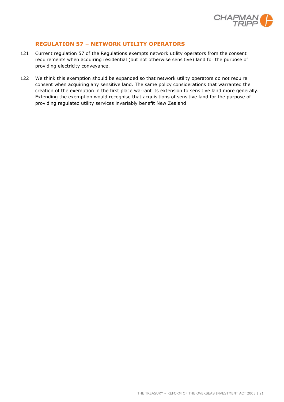

#### **REGULATION 57 – NETWORK UTILITY OPERATORS**

- 121 Current regulation 57 of the Regulations exempts network utility operators from the consent requirements when acquiring residential (but not otherwise sensitive) land for the purpose of providing electricity conveyance.
- 122 We think this exemption should be expanded so that network utility operators do not require consent when acquiring any sensitive land. The same policy considerations that warranted the creation of the exemption in the first place warrant its extension to sensitive land more generally. Extending the exemption would recognise that acquisitions of sensitive land for the purpose of providing regulated utility services invariably benefit New Zealand